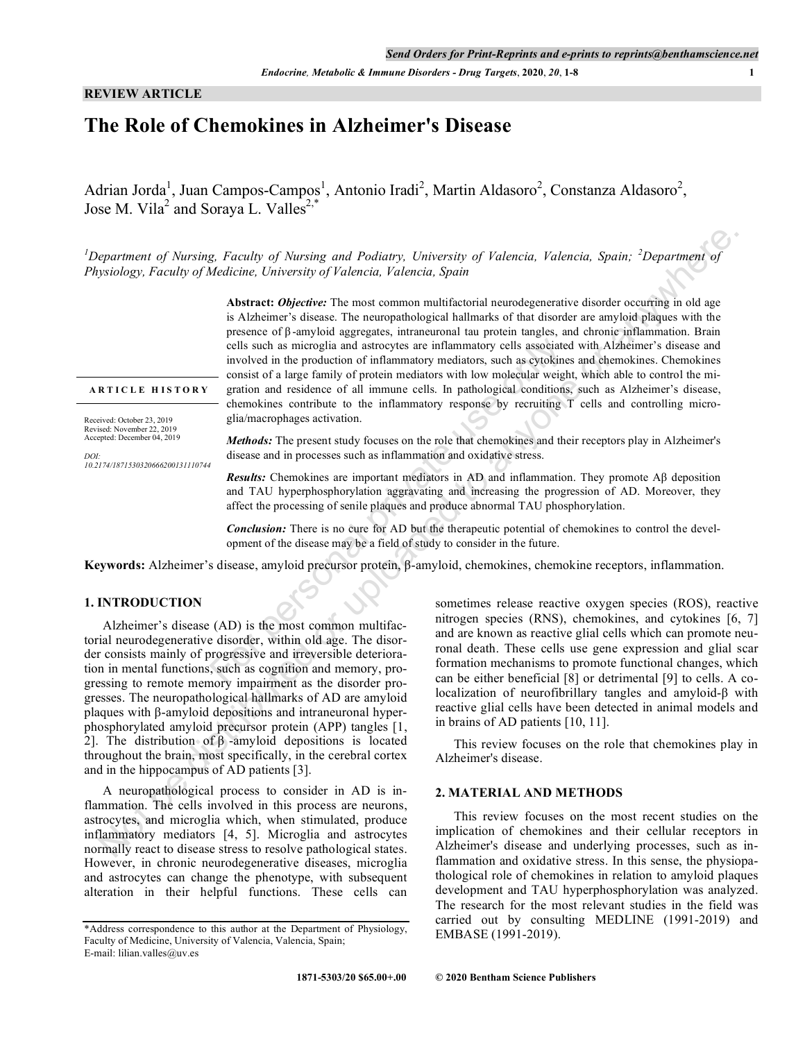*Endocrine, Metabolic & Immune Disorders - Drug Targets*, **2020**, *20*, **1-8 1**

## **REVIEW ARTICLE**

# **The Role of Chemokines in Alzheimer's Disease**

Adrian Jorda<sup>1</sup>, Juan Campos-Campos<sup>1</sup>, Antonio Iradi<sup>2</sup>, Martin Aldasoro<sup>2</sup>, Constanza Aldasoro<sup>2</sup>, Jose M. Vila<sup>2</sup> and Soraya L. Valles<sup>2,\*</sup>

<sup>1</sup>Department of Nursing, Faculty of Nursing and Podiatry, University of Valencia, Valencia, Spain; <sup>2</sup>Department of *Physiology, Faculty of Medicine, University of Valencia, Valencia, Spain*

**Abstract:** *Objective:* The most common multifactorial neurodegenerative disorder occurring in old age is Alzheimer's disease. The neuropathological hallmarks of that disorder are amyloid plaques with the presence of β -amyloid aggregates, intraneuronal tau protein tangles, and chronic inflammation. Brain cells such as microglia and astrocytes are inflammatory cells associated with Alzheimer's disease and involved in the production of inflammatory mediators, such as cytokines and chemokines. Chemokines consist of a large family of protein mediators with low molecular weight, which able to control the migration and residence of all immune cells. In pathological conditions, such as Alzheimer's disease, chemokines contribute to the inflammatory response by recruiting T cells and controlling microglia/macrophages activation. cells such as microglia and astrocytes are inflammatory cells associated<br>involved in the production of inflammatory mediators, such as cytokines<br>consist of a large family of protein mediators with low molecular weight,<br>gr means of Norsing, Facedly of Norsing and Padisory, University of Falencia, Valencia, Spain; 2Department of Sistery, Facedly, Science of Sistery in the Absence of Sistery in the Absence of Sistery in the present Oriental Ch

**A R T I C L E H I S T O R Y**

Received: October 23, 2019 Revised: November 22, 2019 Accepted: December 04, 2019

*DOI: 10.2174/1871530320666200131110744* *Methods:* The present study focuses on the role that chemokines and their receptors play in Alzheimer's disease and in processes such as inflammation and oxidative stress.

*Results:* Chemokines are important mediators in AD and inflammation. They promote Aβ deposition and TAU hyperphosphorylation aggravating and increasing the progression of AD. Moreover, they affect the processing of senile plaques and produce abnormal TAU phosphorylation.

*Conclusion:* There is no cure for AD but the therapeutic potential of chemokines to control the development of the disease may be a field of study to consider in the future.

**Keywords:** Alzheimer's disease, amyloid precursor protein, β-amyloid, chemokines, chemokine receptors, inflammation.

# **1. INTRODUCTION**

Alzheimer's disease (AD) is the most common multifactorial neurodegenerative disorder, within old age. The disorder consists mainly of progressive and irreversible deterioration in mental functions, such as cognition and memory, progressing to remote memory impairment as the disorder progresses. The neuropathological hallmarks of AD are amyloid plaques with β-amyloid depositions and intraneuronal hyperphosphorylated amyloid precursor protein (APP) tangles [1, 2]. The distribution of  $β$  -amyloid depositions is located throughout the brain, most specifically, in the cerebral cortex and in the hippocampus of AD patients [3].

A neuropathological process to consider in AD is inflammation. The cells involved in this process are neurons, astrocytes, and microglia which, when stimulated, produce inflammatory mediators [4, 5]. Microglia and astrocytes normally react to disease stress to resolve pathological states. However, in chronic neurodegenerative diseases, microglia and astrocytes can change the phenotype, with subsequent alteration in their helpful functions. These cells can

sometimes release reactive oxygen species (ROS), reactive nitrogen species (RNS), chemokines, and cytokines [6, 7] and are known as reactive glial cells which can promote neuronal death. These cells use gene expression and glial scar formation mechanisms to promote functional changes, which can be either beneficial [8] or detrimental [9] to cells. A colocalization of neurofibrillary tangles and amyloid-β with reactive glial cells have been detected in animal models and in brains of AD patients [10, 11].

This review focuses on the role that chemokines play in Alzheimer's disease.

#### **2. MATERIAL AND METHODS**

This review focuses on the most recent studies on the implication of chemokines and their cellular receptors in Alzheimer's disease and underlying processes, such as inflammation and oxidative stress. In this sense, the physiopathological role of chemokines in relation to amyloid plaques development and TAU hyperphosphorylation was analyzed. The research for the most relevant studies in the field was carried out by consulting MEDLINE (1991-2019) and EMBASE (1991-2019).

<sup>\*</sup>Address correspondence to this author at the Department of Physiology, Faculty of Medicine, University of Valencia, Valencia, Spain; E-mail: lilian.valles@uv.es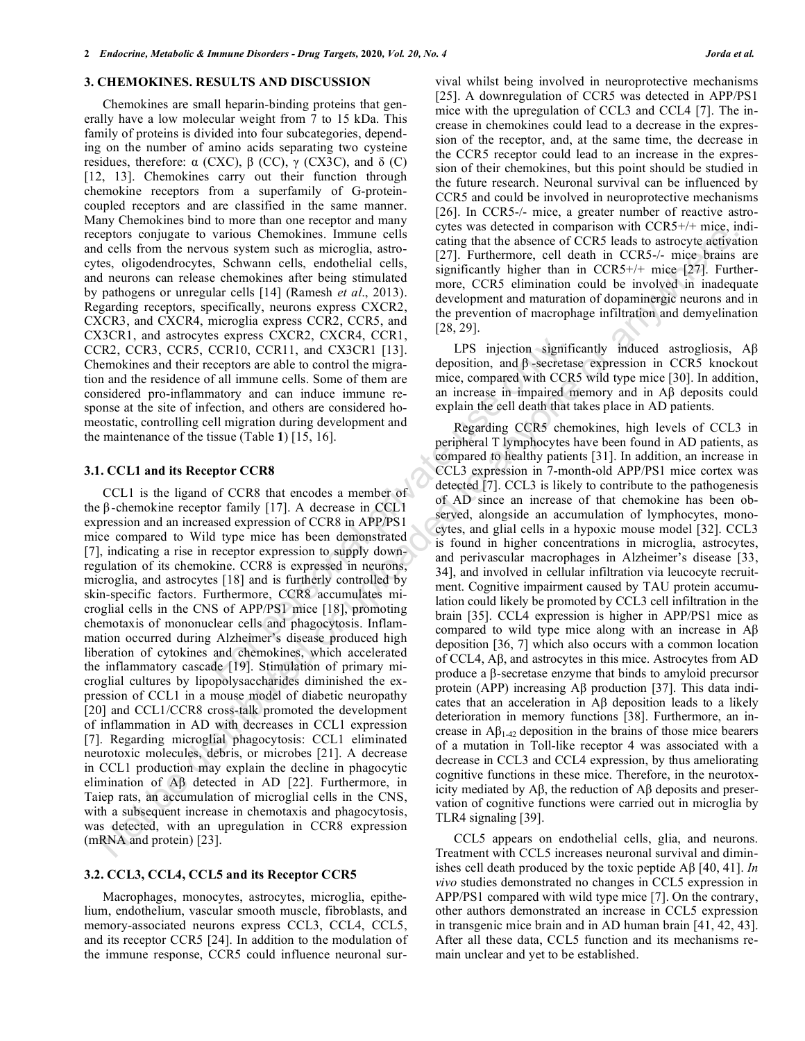#### **3. CHEMOKINES. RESULTS AND DISCUSSION**

Chemokines are small heparin-binding proteins that generally have a low molecular weight from 7 to 15 kDa. This family of proteins is divided into four subcategories, depending on the number of amino acids separating two cysteine residues, therefore:  $\alpha$  (CXC),  $\beta$  (CC),  $\gamma$  (CX3C), and δ (C) [12, 13]. Chemokines carry out their function through chemokine receptors from a superfamily of G-proteincoupled receptors and are classified in the same manner. Many Chemokines bind to more than one receptor and many receptors conjugate to various Chemokines. Immune cells and cells from the nervous system such as microglia, astrocytes, oligodendrocytes, Schwann cells, endothelial cells, and neurons can release chemokines after being stimulated by pathogens or unregular cells [14] (Ramesh *et al*., 2013). Regarding receptors, specifically, neurons express CXCR2, CXCR3, and CXCR4, microglia express CCR2, CCR5, and CX3CR1, and astrocytes express CXCR2, CXCR4, CCR1, CCR2, CCR3, CCR5, CCR10, CCR11, and CX3CR1 [13]. Chemokines and their receptors are able to control the migration and the residence of all immune cells. Some of them are considered pro-inflammatory and can induce immune response at the site of infection, and others are considered homeostatic, controlling cell migration during development and the maintenance of the tissue (Table **1**) [15, 16].

#### **3.1. CCL1 and its Receptor CCR8**

CCL1 is the ligand of CCR8 that encodes a member of the β -chemokine receptor family [17]. A decrease in CCL1 expression and an increased expression of CCR8 in APP/PS1 mice compared to Wild type mice has been demonstrated [7], indicating a rise in receptor expression to supply downregulation of its chemokine. CCR8 is expressed in neurons, microglia, and astrocytes [18] and is furtherly controlled by skin-specific factors. Furthermore, CCR8 accumulates microglial cells in the CNS of APP/PS1 mice [18], promoting chemotaxis of mononuclear cells and phagocytosis. Inflammation occurred during Alzheimer's disease produced high liberation of cytokines and chemokines, which accelerated the inflammatory cascade [19]. Stimulation of primary microglial cultures by lipopolysaccharides diminished the expression of CCL1 in a mouse model of diabetic neuropathy [20] and CCL1/CCR8 cross-talk promoted the development of inflammation in AD with decreases in CCL1 expression [7]. Regarding microglial phagocytosis: CCL1 eliminated neurotoxic molecules, debris, or microbes [21]. A decrease in CCL1 production may explain the decline in phagocytic elimination of Aβ detected in AD [22]. Furthermore, in Taiep rats, an accumulation of microglial cells in the CNS, with a subsequent increase in chemotaxis and phagocytosis, was detected, with an upregulation in CCR8 expression (mRNA and protein) [23]. EVERIC SCREW: CACHA, CACHA, CACHA, AND CORTENTS are able to control the migra-<br>eceptors are able to control the migra-<br>eceptors are able to control the migra-<br>eceptors are able to control the migra-<br>ecertion, and charact

#### **3.2. CCL3, CCL4, CCL5 and its Receptor CCR5**

Macrophages, monocytes, astrocytes, microglia, epithelium, endothelium, vascular smooth muscle, fibroblasts, and memory-associated neurons express CCL3, CCL4, CCL5, and its receptor CCR5 [24]. In addition to the modulation of the immune response, CCR5 could influence neuronal survival whilst being involved in neuroprotective mechanisms [25]. A downregulation of CCR5 was detected in APP/PS1 mice with the upregulation of CCL3 and CCL4 [7]. The increase in chemokines could lead to a decrease in the expression of the receptor, and, at the same time, the decrease in the CCR5 receptor could lead to an increase in the expression of their chemokines, but this point should be studied in the future research. Neuronal survival can be influenced by CCR5 and could be involved in neuroprotective mechanisms [26]. In CCR5-/- mice, a greater number of reactive astrocytes was detected in comparison with CCR5+/+ mice, indicating that the absence of CCR5 leads to astrocyte activation [27]. Furthermore, cell death in CCR5-/- mice brains are significantly higher than in CCR5+/+ mice [27]. Furthermore, CCR5 elimination could be involved in inadequate development and maturation of dopaminergic neurons and in the prevention of macrophage infiltration and demyelination  $[28, 29]$ .

LPS injection significantly induced astrogliosis, Aβ deposition, and β -secretase expression in CCR5 knockout mice, compared with CCR5 wild type mice [30]. In addition, an increase in impaired memory and in Aβ deposits could explain the cell death that takes place in AD patients.

Regarding CCR5 chemokines, high levels of CCL3 in peripheral T lymphocytes have been found in AD patients, as compared to healthy patients [31]. In addition, an increase in CCL3 expression in 7-month-old APP/PS1 mice cortex was detected [7]. CCL3 is likely to contribute to the pathogenesis of AD since an increase of that chemokine has been observed, alongside an accumulation of lymphocytes, monocytes, and glial cells in a hypoxic mouse model [32]. CCL3 is found in higher concentrations in microglia, astrocytes, and perivascular macrophages in Alzheimer's disease [33, 34], and involved in cellular infiltration via leucocyte recruitment. Cognitive impairment caused by TAU protein accumulation could likely be promoted by CCL3 cell infiltration in the brain [35]. CCL4 expression is higher in APP/PS1 mice as compared to wild type mice along with an increase in Aβ deposition [36, 7] which also occurs with a common location of CCL4, Aβ, and astrocytes in this mice. Astrocytes from AD produce a β-secretase enzyme that binds to amyloid precursor protein (APP) increasing Aβ production [37]. This data indicates that an acceleration in Aβ deposition leads to a likely deterioration in memory functions [38]. Furthermore, an increase in  $\mathbf{A}\mathbf{\beta}_{1-42}$  deposition in the brains of those mice bearers of a mutation in Toll-like receptor 4 was associated with a decrease in CCL3 and CCL4 expression, by thus ameliorating cognitive functions in these mice. Therefore, in the neurotoxicity mediated by Aβ, the reduction of Aβ deposits and preservation of cognitive functions were carried out in microglia by TLR4 signaling [39]. spherical by causas Chensel by cannot be detected or any when the spherical by the spherical by the spherical by the spherical by the spherical by the spherical by the spherical by the spherical by the spherical by the sp

CCL5 appears on endothelial cells, glia, and neurons. Treatment with CCL5 increases neuronal survival and diminishes cell death produced by the toxic peptide Aβ [40, 41]. *In vivo* studies demonstrated no changes in CCL5 expression in APP/PS1 compared with wild type mice [7]. On the contrary, other authors demonstrated an increase in CCL5 expression in transgenic mice brain and in AD human brain [41, 42, 43]. After all these data, CCL5 function and its mechanisms remain unclear and yet to be established.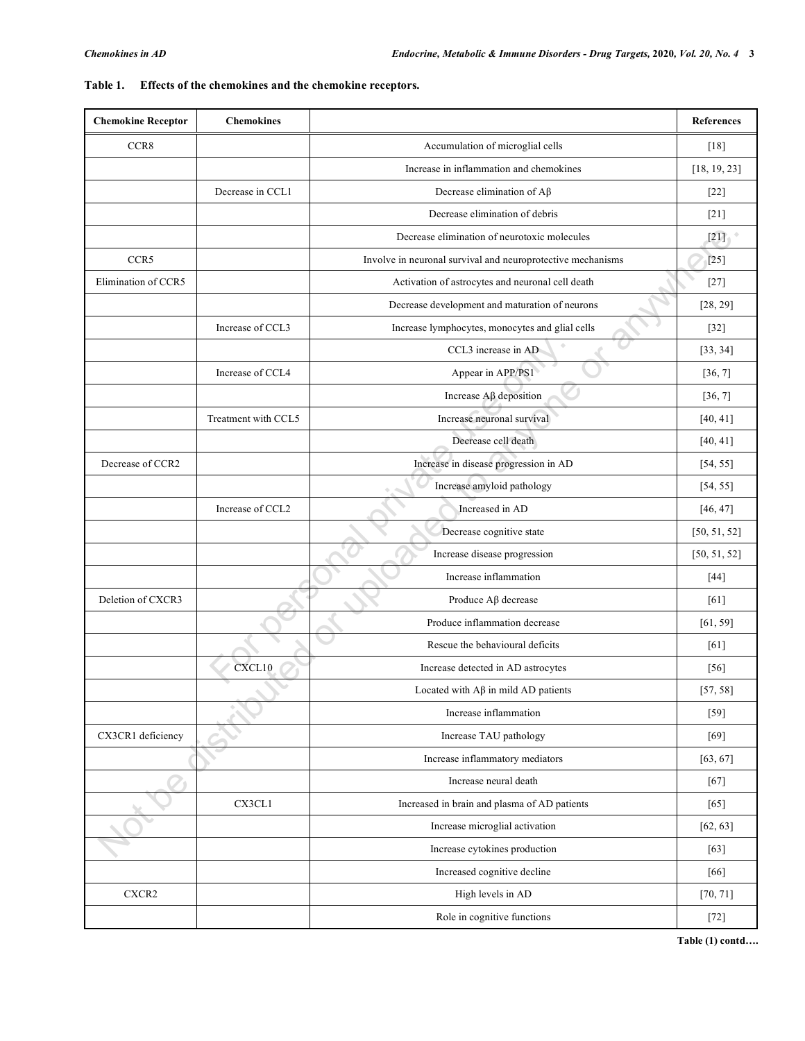| <b>Chemokine Receptor</b> | <b>Chemokines</b>   |                                                             | <b>References</b> |
|---------------------------|---------------------|-------------------------------------------------------------|-------------------|
| CCR8                      |                     | Accumulation of microglial cells                            | [18]              |
|                           |                     | Increase in inflammation and chemokines                     | [18, 19, 23]      |
|                           | Decrease in CCL1    | Decrease elimination of $A\beta$                            | $[22]$            |
|                           |                     | Decrease elimination of debris                              | $[21]$            |
|                           |                     | Decrease elimination of neurotoxic molecules                | $[21]$            |
| CCR5                      |                     | Involve in neuronal survival and neuroprotective mechanisms | $[25]$            |
| Elimination of CCR5       |                     | Activation of astrocytes and neuronal cell death            | $[27]$            |
|                           |                     | Decrease development and maturation of neurons              | [28, 29]          |
|                           | Increase of CCL3    | Increase lymphocytes, monocytes and glial cells             | $[32]$            |
|                           |                     | CCL3 increase in AD                                         | [33, 34]          |
|                           | Increase of CCL4    | Appear in APP/PS1                                           | [36, 7]           |
|                           |                     | Increase $A\beta$ deposition                                | [36, 7]           |
|                           | Treatment with CCL5 | Increase neuronal survival                                  | [40, 41]          |
|                           |                     | Decrease cell death                                         | [40, 41]          |
| Decrease of CCR2          |                     | Increase in disease progression in AD                       | [54, 55]          |
|                           |                     | Increase amyloid pathology                                  | [54, 55]          |
|                           | Increase of CCL2    | Increased in AD                                             | [46, 47]          |
|                           |                     | Decrease cognitive state                                    | [50, 51, 52]      |
|                           |                     | Increase disease progression                                | [50, 51, 52]      |
|                           |                     | Increase inflammation                                       | $[44]$            |
| Deletion of CXCR3         |                     | Produce $A\beta$ decrease                                   | [61]              |
|                           |                     | Produce inflammation decrease                               | [61, 59]          |
|                           |                     | Rescue the behavioural deficits                             | [61]              |
|                           | CXCL10              | Increase detected in AD astrocytes                          | [56]              |
|                           |                     | Located with $A\beta$ in mild AD patients                   | [57, 58]          |
|                           |                     | Increase inflammation                                       | $[59]$            |
| CX3CR1 deficiency         |                     | Increase TAU pathology                                      | $[69]$            |
|                           |                     | Increase inflammatory mediators                             | [63, 67]          |
|                           |                     | Increase neural death                                       | $[67]$            |
|                           | CX3CL1              | Increased in brain and plasma of AD patients                | $[65]$            |
|                           |                     | Increase microglial activation                              | [62, 63]          |
|                           |                     | Increase cytokines production                               | $[63]$            |
|                           |                     | Increased cognitive decline                                 | [66]              |
| ${\rm CXCR2}$             |                     | High levels in AD                                           | [70, 71]          |
|                           |                     | Role in cognitive functions                                 | $[72]$            |

# **Table 1. Effects of the chemokines and the chemokine receptors.**

**Table (1) contd….**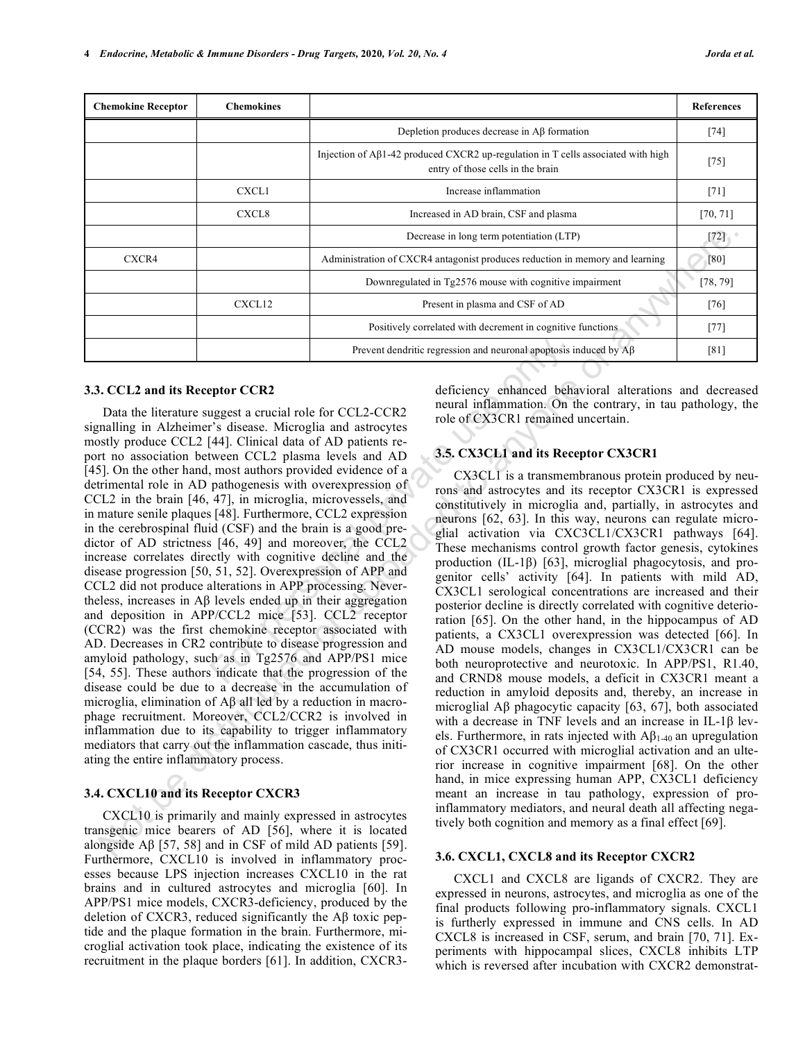| <b>Chemokine Receptor</b> | <b>Chemokines</b> |                                                                                                                       | <b>References</b> |
|---------------------------|-------------------|-----------------------------------------------------------------------------------------------------------------------|-------------------|
|                           |                   | Depletion produces decrease in $\mathbf{A}\beta$ formation                                                            | $[74]$            |
|                           |                   | Injection of Aβ1-42 produced CXCR2 up-regulation in T cells associated with high<br>entry of those cells in the brain | $[75]$            |
|                           | CXCL1             | Increase inflammation                                                                                                 | $[71]$            |
|                           | CXCL8             | Increased in AD brain, CSF and plasma                                                                                 | [70, 71]          |
|                           |                   | Decrease in long term potentiation (LTP)                                                                              | $[72]$            |
| CXCR4                     |                   | Administration of CXCR4 antagonist produces reduction in memory and learning                                          | [80]              |
|                           |                   | Downregulated in Tg2576 mouse with cognitive impairment                                                               | [78, 79]          |
|                           | CXCL12            | Present in plasma and CSF of AD                                                                                       | $[76]$            |
|                           |                   | Positively correlated with decrement in cognitive functions                                                           | $[77]$            |
|                           |                   | Prevent dendritic regression and neuronal apoptosis induced by $\overrightarrow{AB}$                                  | [81]              |

#### **3.3. CCL2 and its Receptor CCR2**

Data the literature suggest a crucial role for CCL2-CCR2 signalling in Alzheimer's disease. Microglia and astrocytes mostly produce CCL2 [44]. Clinical data of AD patients report no association between CCL2 plasma levels and AD [45]. On the other hand, most authors provided evidence of a detrimental role in AD pathogenesis with overexpression of CCL2 in the brain [46, 47], in microglia, microvessels, and in mature senile plaques [48]. Furthermore, CCL2 expression in the cerebrospinal fluid (CSF) and the brain is a good predictor of AD strictness [46, 49] and moreover, the CCL2 increase correlates directly with cognitive decline and the disease progression [50, 51, 52]. Overexpression of APP and CCL2 did not produce alterations in APP processing. Nevertheless, increases in Aβ levels ended up in their aggregation and deposition in APP/CCL2 mice [53]. CCL2 receptor (CCR2) was the first chemokine receptor associated with AD. Decreases in CR2 contribute to disease progression and amyloid pathology, such as in Tg2576 and APP/PS1 mice [54, 55]. These authors indicate that the progression of the disease could be due to a decrease in the accumulation of microglia, elimination of Aβ all led by a reduction in macrophage recruitment. Moreover, CCL2/CCR2 is involved in inflammation due to its capability to trigger inflammatory mediators that carry out the inflammation cascade, thus initiating the entire inflammatory process. Prevent dendritic regression and neuronal apoptosis in<br> **Example 2.5** The prevent dendritic regression and neuronal apoptosis in<br>
the suggest a crucial role for CCL2-CCR2 neural inflammation. On the rive of CX3CR1 remained Decrease in Jong Lines and the second in the second angles in the second angles in the second to a CXCLI and in the second to a second to a second to any operator in the second to a second to a second to a second to a sec

#### **3.4. CXCL10 and its Receptor CXCR3**

CXCL10 is primarily and mainly expressed in astrocytes transgenic mice bearers of AD [56], where it is located alongside  $\mathsf{A}\beta$  [57, 58] and in CSF of mild AD patients [59]. Furthermore, CXCL10 is involved in inflammatory processes because LPS injection increases CXCL10 in the rat brains and in cultured astrocytes and microglia [60]. In APP/PS1 mice models, CXCR3-deficiency, produced by the deletion of CXCR3, reduced significantly the Aβ toxic peptide and the plaque formation in the brain. Furthermore, microglial activation took place, indicating the existence of its recruitment in the plaque borders [61]. In addition, CXCR3deficiency enhanced behavioral alterations and decreased neural inflammation. On the contrary, in tau pathology, the role of CX3CR1 remained uncertain.

# **3.5. CX3CL1 and its Receptor CX3CR1**

CX3CL1 is a transmembranous protein produced by neurons and astrocytes and its receptor CX3CR1 is expressed constitutively in microglia and, partially, in astrocytes and neurons [62, 63]. In this way, neurons can regulate microglial activation via CXC3CL1/CX3CR1 pathways [64]. These mechanisms control growth factor genesis, cytokines production (IL-1β) [63], microglial phagocytosis, and progenitor cells' activity [64]. In patients with mild AD, CX3CL1 serological concentrations are increased and their posterior decline is directly correlated with cognitive deterioration [65]. On the other hand, in the hippocampus of AD patients, a CX3CL1 overexpression was detected [66]. In AD mouse models, changes in CX3CL1/CX3CR1 can be both neuroprotective and neurotoxic. In APP/PS1, R1.40, and CRND8 mouse models, a deficit in CX3CR1 meant a reduction in amyloid deposits and, thereby, an increase in microglial Aβ phagocytic capacity [63, 67], both associated with a decrease in TNF levels and an increase in IL-1β levels. Furthermore, in rats injected with  $\mathbf{A}\mathbf{\beta}_{1-40}$  an upregulation of CX3CR1 occurred with microglial activation and an ulterior increase in cognitive impairment [68]. On the other hand, in mice expressing human APP, CX3CL1 deficiency meant an increase in tau pathology, expression of proinflammatory mediators, and neural death all affecting negatively both cognition and memory as a final effect [69].

#### **3.6. CXCL1, CXCL8 and its Receptor CXCR2**

CXCL1 and CXCL8 are ligands of CXCR2. They are expressed in neurons, astrocytes, and microglia as one of the final products following pro-inflammatory signals. CXCL1 is furtherly expressed in immune and CNS cells. In AD CXCL8 is increased in CSF, serum, and brain [70, 71]. Experiments with hippocampal slices, CXCL8 inhibits LTP which is reversed after incubation with CXCR2 demonstrat-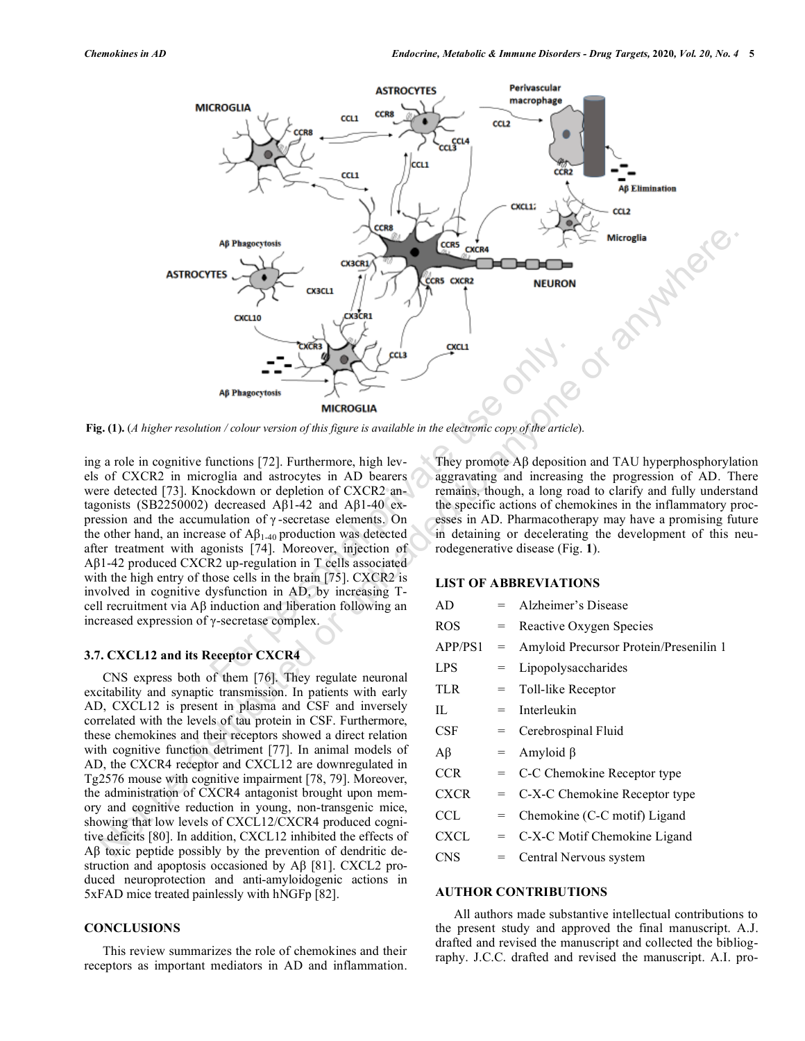

**Fig. (1).** (*A higher resolution / colour version of this figure is available in the electronic copy of the article*).

ing a role in cognitive functions [72]. Furthermore, high levels of CXCR2 in microglia and astrocytes in AD bearers were detected [73]. Knockdown or depletion of CXCR2 antagonists (SB2250002) decreased Aβ1-42 and Aβ1-40 expression and the accumulation of γ -secretase elements. On the other hand, an increase of  $A\beta_{1-40}$  production was detected after treatment with agonists [74]. Moreover, injection of Aβ1-42 produced CXCR2 up-regulation in T cells associated with the high entry of those cells in the brain [75]. CXCR2 is involved in cognitive dysfunction in AD, by increasing Tcell recruitment via Aβ induction and liberation following an increased expression of γ-secretase complex. **Example 19**<br>
Ap Phagectosis<br>
Ap Phagectosis<br>
MICROGUIA<br>
MICROGUIA<br>
MICROGUIA<br>
MICROGUIA<br>
Curvation of this figure is available in the electronic copy of the article<br>
copy of the article<br>
copy of the article<br>
copy of the

#### **3.7. CXCL12 and its Receptor CXCR4**

CNS express both of them [76]. They regulate neuronal excitability and synaptic transmission. In patients with early AD, CXCL12 is present in plasma and CSF and inversely correlated with the levels of tau protein in CSF. Furthermore, these chemokines and their receptors showed a direct relation with cognitive function detriment [77]. In animal models of AD, the CXCR4 receptor and CXCL12 are downregulated in Tg2576 mouse with cognitive impairment [78, 79]. Moreover, the administration of CXCR4 antagonist brought upon memory and cognitive reduction in young, non-transgenic mice, showing that low levels of CXCL12/CXCR4 produced cognitive deficits [80]. In addition, CXCL12 inhibited the effects of Aβ toxic peptide possibly by the prevention of dendritic destruction and apoptosis occasioned by Aβ [81]. CXCL2 produced neuroprotection and anti-amyloidogenic actions in 5xFAD mice treated painlessly with hNGFp [82].

# **CONCLUSIONS**

This review summarizes the role of chemokines and their receptors as important mediators in AD and inflammation.

They promote Aβ deposition and TAU hyperphosphorylation aggravating and increasing the progression of AD. There remains, though, a long road to clarify and fully understand the specific actions of chemokines in the inflammatory processes in AD. Pharmacotherapy may have a promising future in detaining or decelerating the development of this neurodegenerative disease (Fig. **1**).

#### **LIST OF ABBREVIATIONS**

| AD          |     | Alzheimer's Disease                    |
|-------------|-----|----------------------------------------|
| ROS         | $=$ | Reactive Oxygen Species                |
| APP/PS1     | =   | Amyloid Precursor Protein/Presenilin 1 |
| <b>LPS</b>  | $=$ | Lipopolysaccharides                    |
| TLR.        | $=$ | Toll-like Receptor                     |
| П.          | $=$ | Interleukin                            |
| <b>CSF</b>  | $=$ | Cerebrospinal Fluid                    |
| $A\beta$    | $=$ | Amyloid $\beta$                        |
| <b>CCR</b>  | $=$ | C-C Chemokine Receptor type            |
| <b>CXCR</b> | $=$ | C-X-C Chemokine Receptor type          |
| CCL.        | $=$ | Chemokine (C-C motif) Ligand           |
| CXCL        | $=$ | C-X-C Motif Chemokine Ligand           |
| CNS         | $=$ | Central Nervous system                 |

#### **AUTHOR CONTRIBUTIONS**

All authors made substantive intellectual contributions to the present study and approved the final manuscript. A.J. drafted and revised the manuscript and collected the bibliography. J.C.C. drafted and revised the manuscript. A.I. pro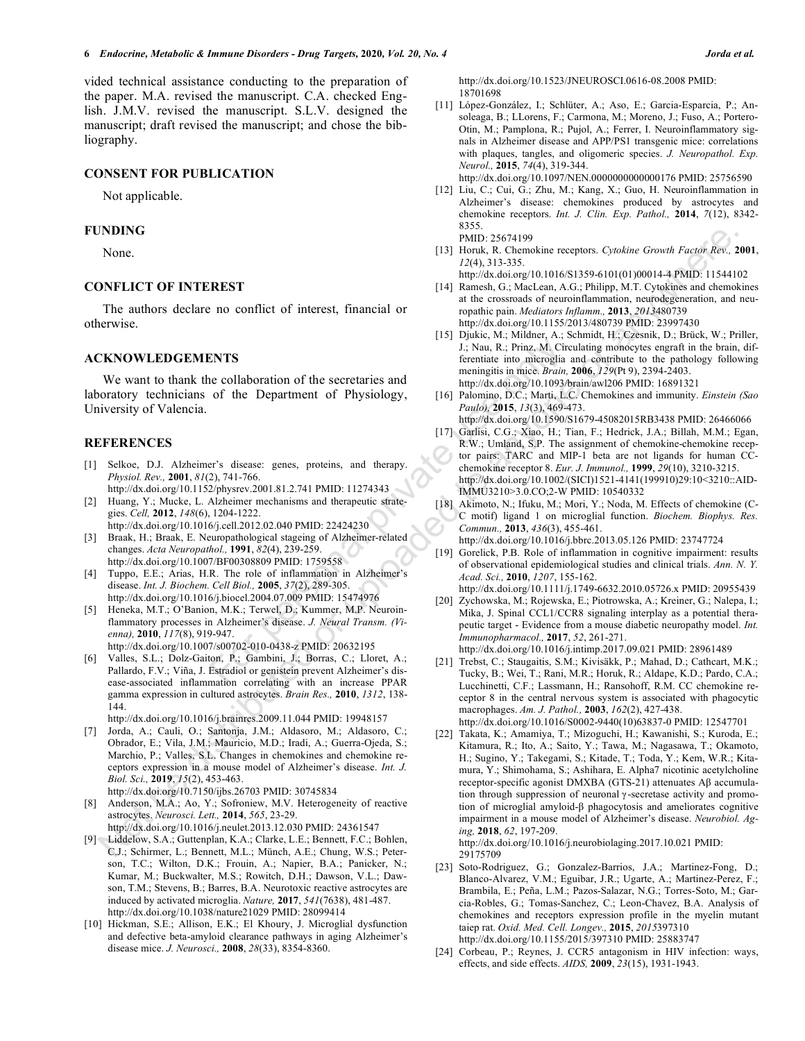vided technical assistance conducting to the preparation of the paper. M.A. revised the manuscript. C.A. checked English. J.M.V. revised the manuscript. S.L.V. designed the manuscript; draft revised the manuscript; and chose the bibliography.

# **CONSENT FOR PUBLICATION**

Not applicable.

#### **FUNDING**

None.

#### **CONFLICT OF INTEREST**

The authors declare no conflict of interest, financial or otherwise.

#### **ACKNOWLEDGEMENTS**

We want to thank the collaboration of the secretaries and laboratory technicians of the Department of Physiology, University of Valencia.

#### **REFERENCES**

[1] Selkoe, D.J. Alzheimer's disease: genes, proteins, and therapy. *Physiol. Rev.,* **2001**, *81*(2), 741-766.

http://dx.doi.org/10.1152/physrev.2001.81.2.741 PMID: 11274343

- [2] Huang, Y.; Mucke, L. Alzheimer mechanisms and therapeutic strategies. *Cell,* **2012**, *148*(6), 1204-1222.
- http://dx.doi.org/10.1016/j.cell.2012.02.040 PMID: 22424230 [3] Braak, H.; Braak, E. Neuropathological stageing of Alzheimer-related changes. *Acta Neuropathol.,* **1991**, *82*(4), 239-259. http://dx.doi.org/10.1007/BF00308809 PMID: 1759558
- [4] Tuppo, E.E.; Arias, H.R. The role of inflammation in Alzheimer's disease. *Int. J. Biochem. Cell Biol.,* **2005**, *37*(2), 289-305. http://dx.doi.org/10.1016/j.biocel.2004.07.009 PMID: 15474976
- [5] Heneka, M.T.; O'Banion, M.K.; Terwel, D.; Kummer, M.P. Neuroinflammatory processes in Alzheimer's disease. *J. Neural Transm. (Vienna),* **2010**, *117*(8), 919-947. http://dx.doi.org/10.1007/s00702-010-0438-z PMID: 20632195 **ENTS**<br>
ENTS<br>
ENTS<br>
ENTS<br>
is Data, R.; Prince, M. Circu<br>
from the secretaries and<br>
meningitis in mice Brain, 21<br>
of the Department of Physiology,<br>
of the Department of Physiology,<br>  $\frac{1}{2}$ , Nau, R.; Prince, Brain, 20<br>
m
- [6] Valles, S.L.; Dolz-Gaiton, P.; Gambini, J.; Borras, C.; Lloret, A.; Pallardo, F.V.; Viña, J. Estradiol or genistein prevent Alzheimer's disease-associated inflammation correlating with an increase PPAR gamma expression in cultured astrocytes. *Brain Res.,* **2010**, *1312*, 138- 144.

http://dx.doi.org/10.1016/j.brainres.2009.11.044 PMID: 19948157

- [7] Jorda, A.; Cauli, O.; Santonja, J.M.; Aldasoro, M.; Aldasoro, C.; Obrador, E.; Vila, J.M.; Mauricio, M.D.; Iradi, A.; Guerra-Ojeda, S.; Marchio, P.; Valles, S.L. Changes in chemokines and chemokine receptors expression in a mouse model of Alzheimer's disease. *Int. J. Biol. Sci.,* **2019**, *15*(2), 453-463. http://dx.doi.org/10.7150/ijbs.26703 PMID: 30745834
- [8] Anderson, M.A.; Ao, Y.; Sofroniew, M.V. Heterogeneity of reactive astrocytes. *Neurosci. Lett.,* **2014**, *565*, 23-29.
- http://dx.doi.org/10.1016/j.neulet.2013.12.030 PMID: 24361547
- [9] Liddelow, S.A.; Guttenplan, K.A.; Clarke, L.E.; Bennett, F.C.; Bohlen, C.J.; Schirmer, L.; Bennett, M.L.; Münch, A.E.; Chung, W.S.; Peterson, T.C.; Wilton, D.K.; Frouin, A.; Napier, B.A.; Panicker, N.; Kumar, M.; Buckwalter, M.S.; Rowitch, D.H.; Dawson, V.L.; Dawson, T.M.; Stevens, B.; Barres, B.A. Neurotoxic reactive astrocytes are induced by activated microglia. *Nature,* **2017**, *541*(7638), 481-487. http://dx.doi.org/10.1038/nature21029 PMID: 28099414
- [10] Hickman, S.E.; Allison, E.K.; El Khoury, J. Microglial dysfunction and defective beta-amyloid clearance pathways in aging Alzheimer's disease mice. *J. Neurosci.,* **2008**, *28*(33), 8354-8360.

http://dx.doi.org/10.1523/JNEUROSCI.0616-08.2008 PMID: 18701698

[11] López-González, I.; Schlüter, A.; Aso, E.; Garcia-Esparcia, P.; Ansoleaga, B.; LLorens, F.; Carmona, M.; Moreno, J.; Fuso, A.; Portero-Otin, M.; Pamplona, R.; Pujol, A.; Ferrer, I. Neuroinflammatory signals in Alzheimer disease and APP/PS1 transgenic mice: correlations with plaques, tangles, and oligomeric species. *J. Neuropathol. Exp. Neurol.,* **2015**, *74*(4), 319-344.

http://dx.doi.org/10.1097/NEN.0000000000000176 PMID: 25756590

- [12] Liu, C.; Cui, G.; Zhu, M.; Kang, X.; Guo, H. Neuroinflammation in Alzheimer's disease: chemokines produced by astrocytes and chemokine receptors. *Int. J. Clin. Exp. Pathol.,* **2014**, *7*(12), 8342- 8355. PMID: 25674199
- [13] Horuk, R. Chemokine receptors. *Cytokine Growth Factor Rev.,* **2001**, *12*(4), 313-335.
	- http://dx.doi.org/10.1016/S1359-6101(01)00014-4 PMID: 11544102
- [14] Ramesh, G.; MacLean, A.G.; Philipp, M.T. Cytokines and chemokines at the crossroads of neuroinflammation, neurodegeneration, and neuropathic pain. *Mediators Inflamm.,* **2013**, *2013*480739 http://dx.doi.org/10.1155/2013/480739 PMID: 23997430
- [15] Djukic, M.; Mildner, A.; Schmidt, H.; Czesnik, D.; Brück, W.; Priller, J.; Nau, R.; Prinz, M. Circulating monocytes engraft in the brain, differentiate into microglia and contribute to the pathology following meningitis in mice. *Brain,* **2006**, *129*(Pt 9), 2394-2403. http://dx.doi.org/10.1093/brain/awl206 PMID: 16891321
- [16] Palomino, D.C.; Marti, L.C. Chemokines and immunity. *Einstein (Sao Paulo),* **2015**, *13*(3), 469-473. http://dx.doi.org/10.1590/S1679-45082015RB3438 PMID: 26466066

[17] Garlisi, C.G.; Xiao, H.; Tian, F.; Hedrick, J.A.; Billah, M.M.; Egan, R.W.; Umland, S.P. The assignment of chemokine-chemokine recep-

- tor pairs: TARC and MIP-1 beta are not ligands for human CCchemokine receptor 8. *Eur. J. Immunol.,* **1999**, *29*(10), 3210-3215. http://dx.doi.org/10.1002/(SICI)1521-4141(199910)29:10<3210::AID-IMMU3210>3.0.CO;2-W PMID: 10540332
- [18] Akimoto, N.; Ifuku, M.; Mori, Y.; Noda, M. Effects of chemokine (C-C motif) ligand 1 on microglial function. *Biochem. Biophys. Res. Commun.,* **2013**, *436*(3), 455-461. http://dx.doi.org/10.1016/j.bbrc.2013.05.126 PMID: 23747724
- [19] Gorelick, P.B. Role of inflammation in cognitive impairment: results of observational epidemiological studies and clinical trials. *Ann. N. Y. Acad. Sci.,* **2010**, *1207*, 155-162.
- http://dx.doi.org/10.1111/j.1749-6632.2010.05726.x PMID: 20955439 [20] Zychowska, M.; Rojewska, E.; Piotrowska, A.; Kreiner, G.; Nalepa, I.;
- Mika, J. Spinal CCL1/CCR8 signaling interplay as a potential therapeutic target - Evidence from a mouse diabetic neuropathy model. *Int. Immunopharmacol.,* **2017**, *52*, 261-271. http://dx.doi.org/10.1016/j.intimp.2017.09.021 PMID: 28961489
- [21] Trebst, C.; Staugaitis, S.M.; Kivisäkk, P.; Mahad, D.; Cathcart, M.K.; Tucky, B.; Wei, T.; Rani, M.R.; Horuk, R.; Aldape, K.D.; Pardo, C.A.; Lucchinetti, C.F.; Lassmann, H.; Ransohoff, R.M. CC chemokine receptor 8 in the central nervous system is associated with phagocytic macrophages. *Am. J. Pathol.,* **2003**, *162*(2), 427-438.

http://dx.doi.org/10.1016/S0002-9440(10)63837-0 PMID: 12547701

[22] Takata, K.; Amamiya, T.; Mizoguchi, H.; Kawanishi, S.; Kuroda, E.; Kitamura, R.; Ito, A.; Saito, Y.; Tawa, M.; Nagasawa, T.; Okamoto, H.; Sugino, Y.; Takegami, S.; Kitade, T.; Toda, Y.; Kem, W.R.; Kitamura, Y.; Shimohama, S.; Ashihara, E. Alpha7 nicotinic acetylcholine receptor-specific agonist DMXBA (GTS-21) attenuates Aβ accumulation through suppression of neuronal γ -secretase activity and promotion of microglial amyloid-β phagocytosis and ameliorates cognitive impairment in a mouse model of Alzheimer's disease. *Neurobiol. Aging,* **2018**, *62*, 197-209. NOTE (NOTE AS  $\mu$  (1990) (1990) (1990) (1990) (1990) (1990) (1990) (1990) (1990) (1990) (1990) (1990) (1990) (1990) (1990) (1990) (1990) (1990) (1990) (1990) (1990) (1990) (1990) (1990) (1990) (1990) (1990) (1990) (1990)

http://dx.doi.org/10.1016/j.neurobiolaging.2017.10.021 PMID: 29175709

- [23] Soto-Rodriguez, G.; Gonzalez-Barrios, J.A.; Martinez-Fong, D.; Blanco-Alvarez, V.M.; Eguibar, J.R.; Ugarte, A.; Martinez-Perez, F.; Brambila, E.; Peña, L.M.; Pazos-Salazar, N.G.; Torres-Soto, M.; Garcia-Robles, G.; Tomas-Sanchez, C.; Leon-Chavez, B.A. Analysis of chemokines and receptors expression profile in the myelin mutant taiep rat. *Oxid. Med. Cell. Longev.,* **2015**, *2015*397310 http://dx.doi.org/10.1155/2015/397310 PMID: 25883747
- [24] Corbeau, P.; Reynes, J. CCR5 antagonism in HIV infection: ways, effects, and side effects. *AIDS,* **2009**, *23*(15), 1931-1943.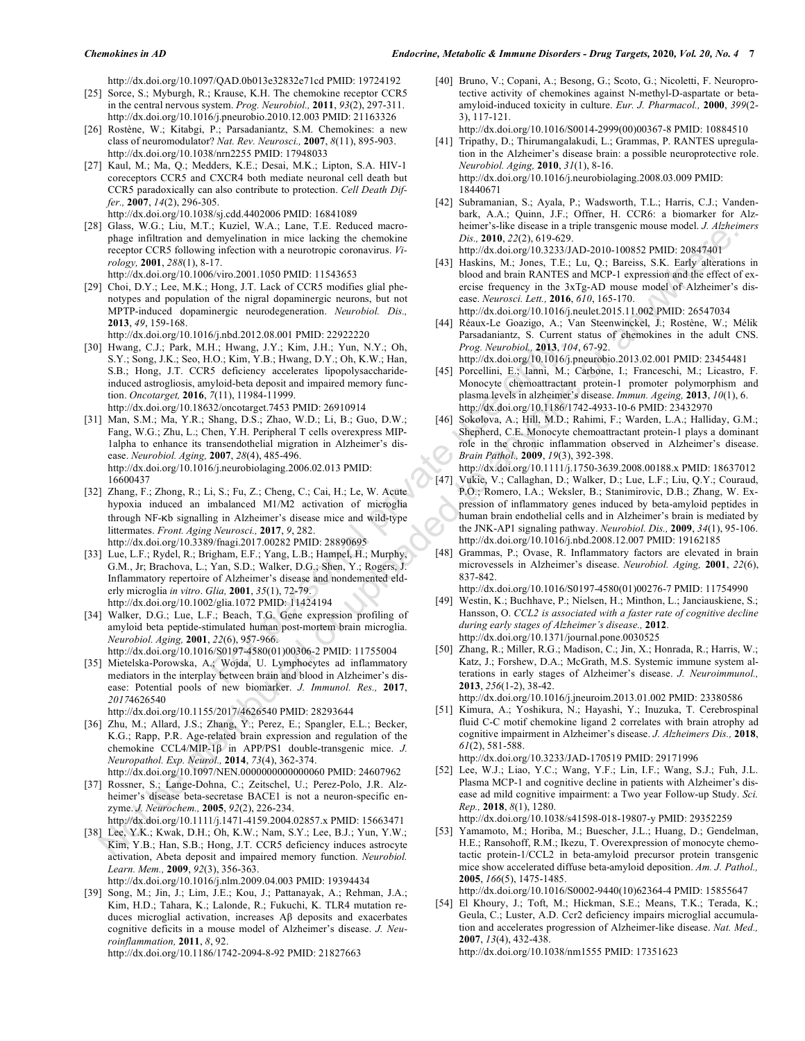http://dx.doi.org/10.1097/QAD.0b013e32832e71cd PMID: 19724192

- [25] Sorce, S.; Myburgh, R.; Krause, K.H. The chemokine receptor CCR5 in the central nervous system. *Prog. Neurobiol.,* **2011**, *93*(2), 297-311. http://dx.doi.org/10.1016/j.pneurobio.2010.12.003 PMID: 21163326
- [26] Rostène, W.; Kitabgi, P.; Parsadaniantz, S.M. Chemokines: a new class of neuromodulator? *Nat. Rev. Neurosci.,* **2007**, *8*(11), 895-903. http://dx.doi.org/10.1038/nrn2255 PMID: 17948033
- [27] Kaul, M.; Ma, Q.; Medders, K.E.; Desai, M.K.; Lipton, S.A. HIV-1 coreceptors CCR5 and CXCR4 both mediate neuronal cell death but CCR5 paradoxically can also contribute to protection. *Cell Death Differ.,* **2007**, *14*(2), 296-305. http://dx.doi.org/10.1038/sj.cdd.4402006 PMID: 16841089
- [28] Glass, W.G.; Liu, M.T.; Kuziel, W.A.; Lane, T.E. Reduced macrophage infiltration and demyelination in mice lacking the chemokine receptor CCR5 following infection with a neurotropic coronavirus. *Virology,* **2001**, *288*(1), 8-17. http://dx.doi.org/10.1006/viro.2001.1050 PMID: 11543653
- [29] Choi, D.Y.; Lee, M.K.; Hong, J.T. Lack of CCR5 modifies glial phenotypes and population of the nigral dopaminergic neurons, but not MPTP-induced dopaminergic neurodegeneration. *Neurobiol. Dis.,*  **2013**, *49*, 159-168.
	- http://dx.doi.org/10.1016/j.nbd.2012.08.001 PMID: 22922220
- [30] Hwang, C.J.; Park, M.H.; Hwang, J.Y.; Kim, J.H.; Yun, N.Y.; Oh, S.Y.; Song, J.K.; Seo, H.O.; Kim, Y.B.; Hwang, D.Y.; Oh, K.W.; Han, S.B.; Hong, J.T. CCR5 deficiency accelerates lipopolysaccharideinduced astrogliosis, amyloid-beta deposit and impaired memory function. *Oncotarget,* **2016**, *7*(11), 11984-11999. http://dx.doi.org/10.18632/oncotarget.7453 PMID: 26910914
- [31] Man, S.M.; Ma, Y.R.; Shang, D.S.; Zhao, W.D.; Li, B.; Guo, D.W.; Fang, W.G.; Zhu, L.; Chen, Y.H. Peripheral T cells overexpress MIP-1alpha to enhance its transendothelial migration in Alzheimer's disease. *Neurobiol. Aging,* **2007**, *28*(4), 485-496. http://dx.doi.org/10.1016/j.neurobiolaging.2006.02.013 PMID: 16600437 For a constrained MI-MI;  $\frac{1}{2}$  (10.1 (10.1 (10.1 (10.1 (10.1 (10.1 (10.1 (10.1 (10.1 (10.1 (10.1 (10.1 (10.1 (10.1 (10.1 (10.1 (10.1 (10.1 (10.1 (10.1 (10.1 (10.1 (10.1 (10.1 (10.1 (10.1 (10.1 (10.1 (10.1 (10.1 (10.1 Note the interaction in the lateral interaction in the main  $\alpha$  control in the interaction in the interaction in the interaction in the interaction in the interaction in the interaction in the interaction in the interac
- [32] Zhang, F.; Zhong, R.; Li, S.; Fu, Z.; Cheng, C.; Cai, H.; Le, W. Acute hypoxia induced an imbalanced M1/M2 activation of microglia through NF-Kb signalling in Alzheimer's disease mice and wild-type littermates. *Front. Aging Neurosci.,* **2017**, *9*, 282. http://dx.doi.org/10.3389/fnagi.2017.00282 PMID: 28890695
- [33] Lue, L.F.; Rydel, R.; Brigham, E.F.; Yang, L.B.; Hampel, H.; Murphy, G.M., Jr; Brachova, L.; Yan, S.D.; Walker, D.G.; Shen, Y.; Rogers, J. Inflammatory repertoire of Alzheimer's disease and nondemented elderly microglia *in vitro*. *Glia,* **2001**, *35*(1), 72-79. http://dx.doi.org/10.1002/glia.1072 PMID: 11424194
- [34] Walker, D.G.; Lue, L.F.; Beach, T.G. Gene expression profiling of amyloid beta peptide-stimulated human post-mortem brain microglia. *Neurobiol. Aging,* **2001**, *22*(6), 957-966. http://dx.doi.org/10.1016/S0197-4580(01)00306-2 PMID: 11755004
- [35] Mietelska-Porowska, A.; Wojda, U. Lymphocytes ad inflammatory mediators in the interplay between brain and blood in Alzheimer's disease: Potential pools of new biomarker. *J. Immunol. Res.,* **2017**, *2017*4626540
	- http://dx.doi.org/10.1155/2017/4626540 PMID: 28293644
- [36] Zhu, M.; Allard, J.S.; Zhang, Y.; Perez, E.; Spangler, E.L.; Becker, K.G.; Rapp, P.R. Age-related brain expression and regulation of the chemokine CCL4/MIP-1β in APP/PS1 double-transgenic mice. *J. Neuropathol. Exp. Neurol.,* **2014**, *73*(4), 362-374.
- http://dx.doi.org/10.1097/NEN.0000000000000060 PMID: 24607962 [37] Rossner, S.; Lange-Dohna, C.; Zeitschel, U.; Perez-Polo, J.R. Alzheimer's disease beta-secretase BACE1 is not a neuron-specific enzyme. *J. Neurochem.,* **2005**, *92*(2), 226-234. http://dx.doi.org/10.1111/j.1471-4159.2004.02857.x PMID: 15663471
- [38] Lee, Y.K.; Kwak, D.H.; Oh, K.W.; Nam, S.Y.; Lee, B.J.; Yun, Y.W.; Kim, Y.B.; Han, S.B.; Hong, J.T. CCR5 deficiency induces astrocyte activation, Abeta deposit and impaired memory function. *Neurobiol. Learn. Mem.,* **2009**, *92*(3), 356-363.
	- http://dx.doi.org/10.1016/j.nlm.2009.04.003 PMID: 19394434
- [39] Song, M.; Jin, J.; Lim, J.E.; Kou, J.; Pattanayak, A.; Rehman, J.A.; Kim, H.D.; Tahara, K.; Lalonde, R.; Fukuchi, K. TLR4 mutation reduces microglial activation, increases Aβ deposits and exacerbates cognitive deficits in a mouse model of Alzheimer's disease. *J. Neuroinflammation,* **2011**, *8*, 92.

http://dx.doi.org/10.1186/1742-2094-8-92 PMID: 21827663

[40] Bruno, V.; Copani, A.; Besong, G.; Scoto, G.; Nicoletti, F. Neuroprotective activity of chemokines against N-methyl-D-aspartate or betaamyloid-induced toxicity in culture. *Eur. J. Pharmacol.,* **2000**, *399*(2- 3), 117-121.

http://dx.doi.org/10.1016/S0014-2999(00)00367-8 PMID: 10884510

- [41] Tripathy, D.; Thirumangalakudi, L.; Grammas, P. RANTES upregulation in the Alzheimer's disease brain: a possible neuroprotective role. *Neurobiol. Aging,* **2010**, *31*(1), 8-16. http://dx.doi.org/10.1016/j.neurobiolaging.2008.03.009 PMID: 18440671
- [42] Subramanian, S.; Ayala, P.; Wadsworth, T.L.; Harris, C.J.; Vandenbark, A.A.; Quinn, J.F.; Offner, H. CCR6: a biomarker for Alzheimer's-like disease in a triple transgenic mouse model. *J. Alzheimers Dis.,* **2010**, *22*(2), 619-629. http://dx.doi.org/10.3233/JAD-2010-100852 PMID: 20847401
- [43] Haskins, M.; Jones, T.E.; Lu, Q.; Bareiss, S.K. Early alterations in blood and brain RANTES and MCP-1 expression and the effect of exercise frequency in the 3xTg-AD mouse model of Alzheimer's dis-
- ease. *Neurosci. Lett.,* **2016**, *610*, 165-170. http://dx.doi.org/10.1016/j.neulet.2015.11.002 PMID: 26547034
- [44] Réaux-Le Goazigo, A.; Van Steenwinckel, J.; Rostène, W.; Mélik Parsadaniantz, S. Current status of chemokines in the adult CNS. *Prog. Neurobiol.,* **2013**, *104*, 67-92.

http://dx.doi.org/10.1016/j.pneurobio.2013.02.001 PMID: 23454481

- [45] Porcellini, E.; Ianni, M.; Carbone, I.; Franceschi, M.; Licastro, F. Monocyte chemoattractant protein-1 promoter polymorphism and plasma levels in alzheimer's disease. *Immun. Ageing,* **2013**, *10*(1), 6. http://dx.doi.org/10.1186/1742-4933-10-6 PMID: 23432970
- [46] Sokolova, A.; Hill, M.D.; Rahimi, F.; Warden, L.A.; Halliday, G.M.; Shepherd, C.E. Monocyte chemoattractant protein-1 plays a dominant role in the chronic inflammation observed in Alzheimer's disease. *Brain Pathol.,* **2009**, *19*(3), 392-398.

http://dx.doi.org/10.1111/j.1750-3639.2008.00188.x PMID: 18637012

- [47] Vukic, V.; Callaghan, D.; Walker, D.; Lue, L.F.; Liu, Q.Y.; Couraud, P.O.; Romero, I.A.; Weksler, B.; Stanimirovic, D.B.; Zhang, W. Expression of inflammatory genes induced by beta-amyloid peptides in human brain endothelial cells and in Alzheimer's brain is mediated by the JNK-AP1 signaling pathway. *Neurobiol. Dis.,* **2009**, *34*(1), 95-106. http://dx.doi.org/10.1016/j.nbd.2008.12.007 PMID: 19162185
- [48] Grammas, P.; Ovase, R. Inflammatory factors are elevated in brain microvessels in Alzheimer's disease. *Neurobiol. Aging,* **2001**, *22*(6), 837-842.

http://dx.doi.org/10.1016/S0197-4580(01)00276-7 PMID: 11754990

- [49] Westin, K.; Buchhave, P.; Nielsen, H.; Minthon, L.; Janciauskiene, S.; Hansson, O. *CCL2 is associated with a faster rate of cognitive decline during early stages of Alzheimer's disease.,* **2012**. http://dx.doi.org/10.1371/journal.pone.0030525
- [50] Zhang, R.; Miller, R.G.; Madison, C.; Jin, X.; Honrada, R.; Harris, W.; Katz, J.; Forshew, D.A.; McGrath, M.S. Systemic immune system alterations in early stages of Alzheimer's disease. *J. Neuroimmunol.,*  **2013**, *256*(1-2), 38-42.

http://dx.doi.org/10.1016/j.jneuroim.2013.01.002 PMID: 23380586

[51] Kimura, A.; Yoshikura, N.; Hayashi, Y.; Inuzuka, T. Cerebrospinal fluid C-C motif chemokine ligand 2 correlates with brain atrophy ad cognitive impairment in Alzheimer's disease. *J. Alzheimers Dis.,* **2018**, *61*(2), 581-588.

http://dx.doi.org/10.3233/JAD-170519 PMID: 29171996

[52] Lee, W.J.; Liao, Y.C.; Wang, Y.F.; Lin, I.F.; Wang, S.J.; Fuh, J.L. Plasma MCP-1 and cognitive decline in patients with Alzheimer's disease ad mild cognitive impairment: a Two year Follow-up Study. *Sci. Rep.,* **2018**, *8*(1), 1280.

http://dx.doi.org/10.1038/s41598-018-19807-y PMID: 29352259

[53] Yamamoto, M.; Horiba, M.; Buescher, J.L.; Huang, D.; Gendelman, H.E.; Ransohoff, R.M.; Ikezu, T. Overexpression of monocyte chemotactic protein-1/CCL2 in beta-amyloid precursor protein transgenic mice show accelerated diffuse beta-amyloid deposition. *Am. J. Pathol.,*  **2005**, *166*(5), 1475-1485.

http://dx.doi.org/10.1016/S0002-9440(10)62364-4 PMID: 15855647

[54] El Khoury, J.; Toft, M.; Hickman, S.E.; Means, T.K.; Terada, K.; Geula, C.; Luster, A.D. Ccr2 deficiency impairs microglial accumulation and accelerates progression of Alzheimer-like disease. *Nat. Med.,*  **2007**, *13*(4), 432-438.

http://dx.doi.org/10.1038/nm1555 PMID: 17351623